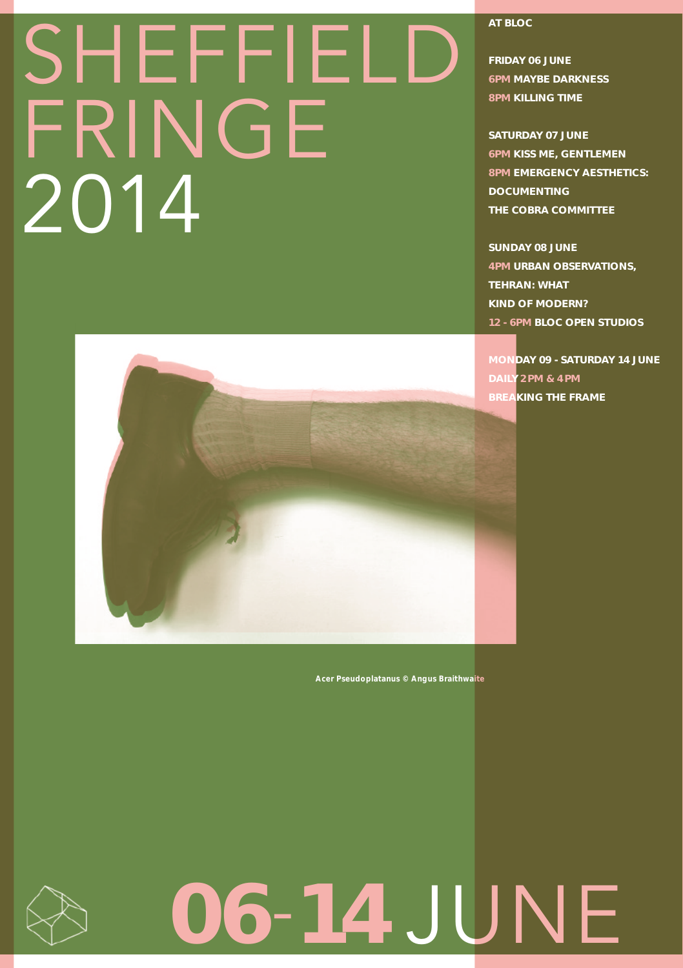## **SHEFFIELI** FRINGE 2014



12 - 6pm Bloc Open Studios monday 09 - saturday 14 june

4pm Urban ObsERVATIONS,

AT BLOC

Friday 06 June 6pm MAYBE DARKNESS 8pm KILLING TIME

SATURDAY 07 JUNE 6pm Kiss me, gentlemen 8pm Emergency Aesthetics:

DOCUMENTING THe COBRA committee

SUNDAY 08 June

Tehran: What Kind of Modern?

daily 2 pm & 4 pm BREAKING THE FRAME

*Acer Pseudoplatanus © Angus Braithwaite*

# 06-14 JUNE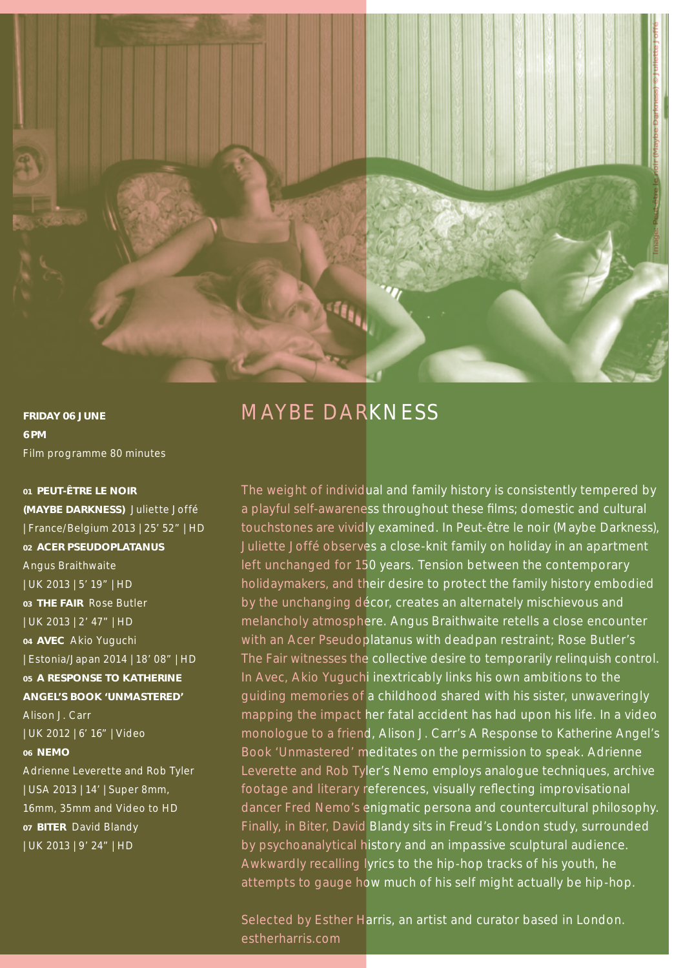

FRIDAY 06 June 6 pm Film programme 80 minutes

01 Peut-être le noir (Maybe Darkness) Juliette Joffé | France/Belgium 2013 | 25' 52" | HD 02 Acer Pseudoplatanus Angus Braithwaite | UK 2013 | 5' 19" | HD 03 THE FAIR Rose Butler | UK 2013 | 2' 47" | HD <sup>04</sup> Avec Akio Yuguchi | Estonia/Japan 2014 | 18' 08" | HD 05 A Response to Katherine Angel's Book 'Unmastered' Alison J. Carr | UK 2012 | 6' 16" | Video 06 Nemo Adrienne Leverette and Rob Tyler | USA 2013 | 14' | Super 8mm, 16mm, 35mm and Video to HD 07 BITER David Blandy | UK 2013 | 9' 24" | HD

### MAYBE DARKNESS

The weight of individual and family history is consistently tempered by a playful self-awareness throughout these films; domestic and cultural touchstones are vividly examined. In *Peut-être le noir (Maybe Darkness),*  Juliette Joffé observes a close-knit family on holiday in an apartment left unchanged for 150 years. Tension between the contemporary holidaymakers, and their desire to protect the family history embodied by the unchanging décor, creates an alternately mischievous and melancholy atmosphere. Angus Braithwaite retells a close encounter with an *Acer Pseudoplatanus* with deadpan restraint; Rose Butler's *The Fair* witnesses the collective desire to temporarily relinquish control. In *Avec,* Akio Yuguchi inextricably links his own ambitions to the guiding memories of a childhood shared with his sister, unwaveringly mapping the impact her fatal accident has had upon his life. In a video monologue to a friend, Alison J. Carr's *A Response to Katherine Angel's Book 'Unmastered'* meditates on the permission to speak. Adrienne Leverette and Rob Tyler's *Nemo* employs analogue techniques, archive footage and literary references, visually reflecting improvisational dancer Fred Nemo's enigmatic persona and countercultural philosophy. Finally, in *Biter,* David Blandy sits in Freud's London study, surrounded by psychoanalytical history and an impassive sculptural audience. Awkwardly recalling lyrics to the hip-hop tracks of his youth, he attempts to gauge how much of his self might actually be hip-hop.

Selected by Esther Harris, an artist and curator based in London. estherharris.com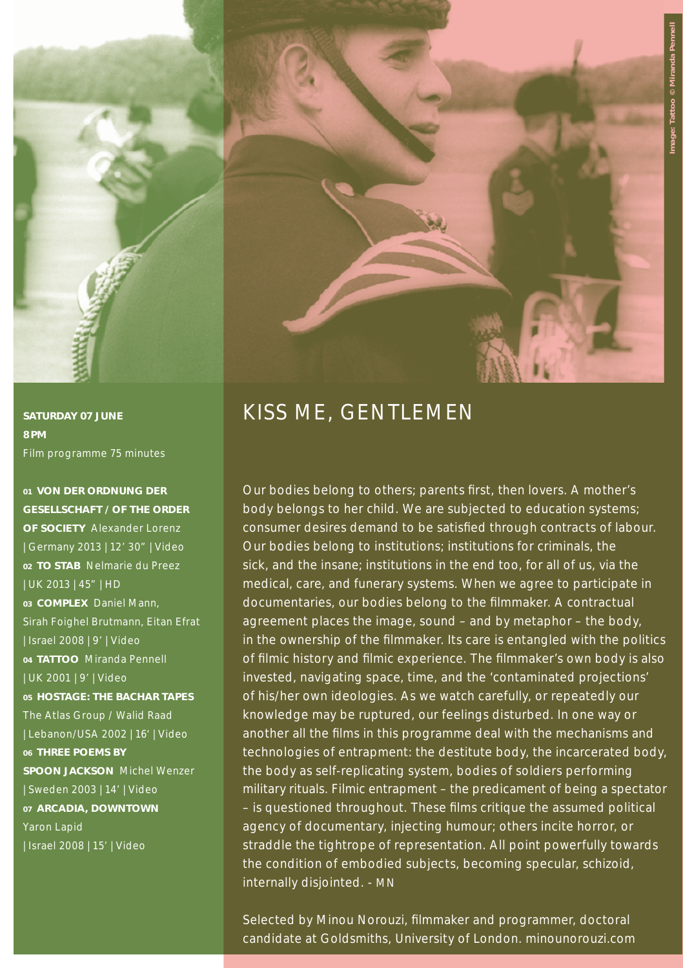

8 pm Film programme 75 minutes

01 Von der Ordnung der Gesellschaft / Of the Order of Society Alexander Lorenz | Germany 2013 | 12' 30" | Video <sup>02</sup> To Stab Nelmarie du Preez | UK 2013 | 45" | HD <sup>03</sup> Complex Daniel Mann, Sirah Foighel Brutmann, Eitan Efrat | Israel 2008 | 9' | Video <sup>04</sup> TATTOO Miranda Pennell | UK 2001 | 9' | Video 05 Hostage: The Bachar Tapes The Atlas Group / Walid Raad | Lebanon/USA 2002 | 16' | Video 06 THREE POEMS BY Spoon Jackson Michel Wenzer | Sweden 2003 | 14' | Video 07 Arcadia, downtown Yaron Lapid | Israel 2008 | 15' | Video



## SATURDAY 07 JUNE KISS ME, GENTLEMEN

Our bodies belong to others; parents first, then lovers. A mother's body belongs to her child. We are subjected to education systems; consumer desires demand to be satisfied through contracts of labour. Our bodies belong to institutions; institutions for criminals, the sick, and the insane; institutions in the end too, for all of us, via the medical, care, and funerary systems. When we agree to participate in documentaries, our bodies belong to the filmmaker. A contractual agreement places the image, sound – and by metaphor – the body, in the ownership of the filmmaker. Its care is entangled with the politics of filmic history and filmic experience. The filmmaker's own body is also invested, navigating space, time, and the 'contaminated projections' of his/her own ideologies. As we watch carefully, or repeatedly our knowledge may be ruptured, our feelings disturbed. In one way or another all the films in this programme deal with the mechanisms and technologies of entrapment: the destitute body, the incarcerated body, the body as self-replicating system, bodies of soldiers performing military rituals. Filmic entrapment - the predicament of being a spectator – is questioned throughout. These films critique the assumed political agency of documentary, injecting humour; others incite horror, or straddle the tightrope of representation. All point powerfully towards the condition of embodied subjects, becoming specular, schizoid, internally disjointed. - MN

Selected by Minou Norouzi, filmmaker and programmer, doctoral candidate at Goldsmiths, University of London. minounorouzi.com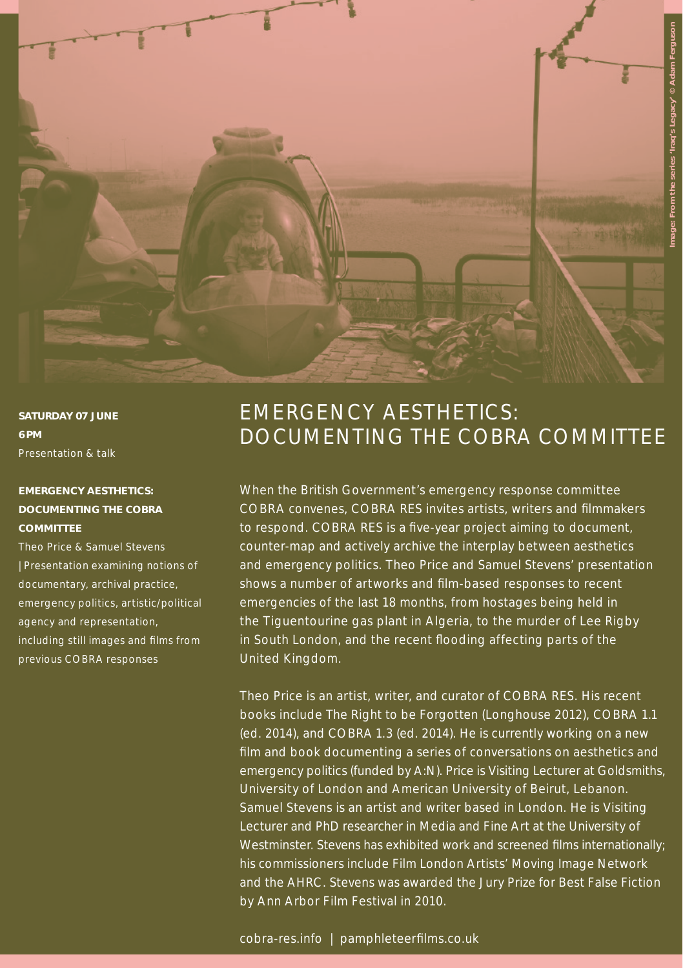

SATURDAY 07 JUNE 6 pm Presentation & talk

#### EMERGENCY AESTHETICS: DOCUMENTING THE COBRA **COMMITTEE**

Theo Price & Samuel Stevens | Presentation examining notions of documentary, archival practice, emergency politics, artistic/political agency and representation, including still images and films from previous COBRA responses

## Emergency Aesthetics: DOCUMENTING THE COBRA COMMITTEE

When the British Government's emergency response committee COBRA convenes, *COBRA RES* invites artists, writers and filmmakers to respond. *COBRA RES* is a five-year project aiming to document, counter-map and actively archive the interplay between aesthetics and emergency politics. Theo Price and Samuel Stevens' presentation shows a number of artworks and film-based responses to recent emergencies of the last 18 months, from hostages being held in the Tiguentourine gas plant in Algeria, to the murder of Lee Rigby in South London, and the recent flooding affecting parts of the United Kingdom.

Theo Price is an artist, writer, and curator of *COBRA RES.* His recent books include *The Right to be Forgotten* (Longhouse 2012), *COBRA 1.1* (ed. 2014), and *COBRA 1.3* (ed. 2014). He is currently working on a new film and book documenting a series of conversations on aesthetics and emergency politics (funded by A:N). Price is Visiting Lecturer at Goldsmiths, University of London and American University of Beirut, Lebanon. Samuel Stevens is an artist and writer based in London. He is Visiting Lecturer and PhD researcher in Media and Fine Art at the University of Westminster. Stevens has exhibited work and screened films internationally; his commissioners include Film London Artists' Moving Image Network and the AHRC. Stevens was awarded the Jury Prize for Best False Fiction by Ann Arbor Film Festival in 2010.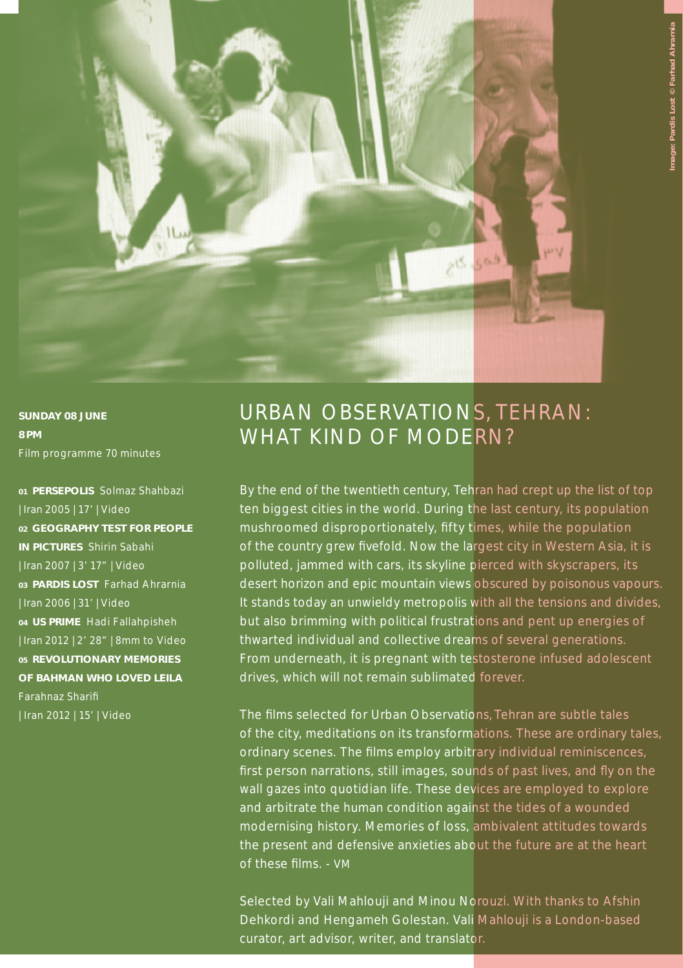

SUNDAY 08 June 8 pm Film programme 70 minutes

01 Persepolis Solmaz Shahbazi | Iran 2005 | 17' | Video 02 GEOGRAPHY TEST FOR PEOPLE in Pictures Shirin Sabahi | Iran 2007 | 3' 17" | Video 03 Pardis Lost Farhad Ahrarnia | Iran 2006 | 31' | Video 04 US Prime Hadi Fallahpisheh | Iran 2012 | 2' 28" | 8mm to Video 05 Revolutionary Memories of Bahman who Loved Leila Farahnaz Sharifi | Iran 2012 | 15' | Video

## URBAN OBSERVATIONS, TEHRAN: WHAT KIND OF MODERN?

By the end of the twentieth century, Tehran had crept up the list of top ten biggest cities in the world. During the last century, its population mushroomed disproportionately, fifty times, while the population of the country grew fivefold. Now the largest city in Western Asia, it is polluted, jammed with cars, its skyline pierced with skyscrapers, its desert horizon and epic mountain views obscured by poisonous vapours. It stands today an unwieldy metropolis with all the tensions and divides, but also brimming with political frustrations and pent up energies of thwarted individual and collective dreams of several generations. From underneath, it is pregnant with testosterone infused adolescent drives, which will not remain sublimated forever.

The films selected for *Urban Observations, Tehran* are subtle tales of the city, meditations on its transformations. These are ordinary tales, ordinary scenes. The films employ arbitrary individual reminiscences, first person narrations, still images, sounds of past lives, and fly on the wall gazes into quotidian life. These devices are employed to explore and arbitrate the human condition against the tides of a wounded modernising history. Memories of loss, ambivalent attitudes towards the present and defensive anxieties about the future are at the heart of these films. - VM

Selected by Vali Mahlouji and Minou Norouzi. With thanks to Afshin Dehkordi and Hengameh Golestan. Vali Mahlouji is a London-based curator, art advisor, writer, and translator.